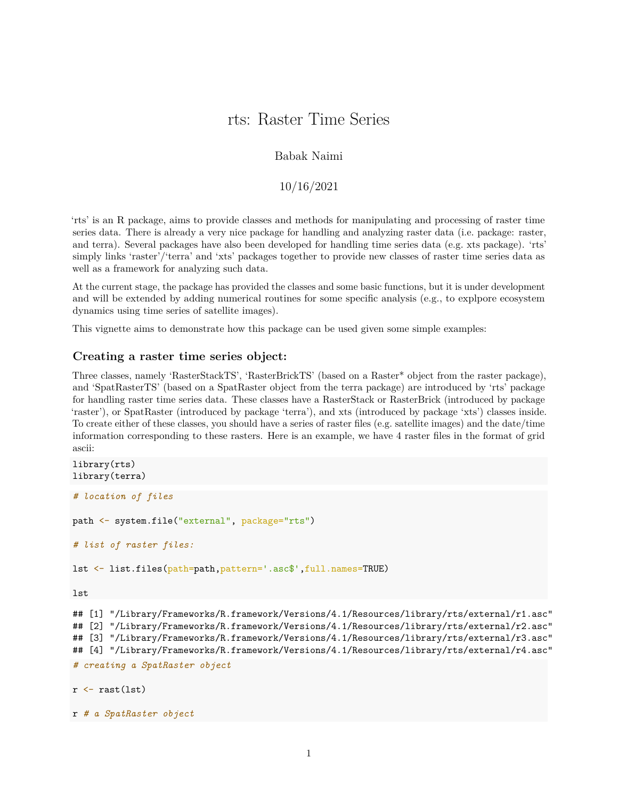# rts: Raster Time Series

## Babak Naimi

## 10/16/2021

'rts' is an R package, aims to provide classes and methods for manipulating and processing of raster time series data. There is already a very nice package for handling and analyzing raster data (i.e. package: raster, and terra). Several packages have also been developed for handling time series data (e.g. xts package). 'rts' simply links 'raster'/'terra' and 'xts' packages together to provide new classes of raster time series data as well as a framework for analyzing such data.

At the current stage, the package has provided the classes and some basic functions, but it is under development and will be extended by adding numerical routines for some specific analysis (e.g., to explpore ecosystem dynamics using time series of satellite images).

This vignette aims to demonstrate how this package can be used given some simple examples:

#### **Creating a raster time series object:**

Three classes, namely 'RasterStackTS', 'RasterBrickTS' (based on a Raster\* object from the raster package), and 'SpatRasterTS' (based on a SpatRaster object from the terra package) are introduced by 'rts' package for handling raster time series data. These classes have a RasterStack or RasterBrick (introduced by package 'raster'), or SpatRaster (introduced by package 'terra'), and xts (introduced by package 'xts') classes inside. To create either of these classes, you should have a series of raster files (e.g. satellite images) and the date/time information corresponding to these rasters. Here is an example, we have 4 raster files in the format of grid ascii:

```
library(rts)
library(terra)
# location of files
path <- system.file("external", package="rts")
# list of raster files:
lst <- list.files(path=path,pattern='.asc$',full.names=TRUE)
lst
## [1] "/Library/Frameworks/R.framework/Versions/4.1/Resources/library/rts/external/r1.asc"
## [2] "/Library/Frameworks/R.framework/Versions/4.1/Resources/library/rts/external/r2.asc"
## [3] "/Library/Frameworks/R.framework/Versions/4.1/Resources/library/rts/external/r3.asc"
## [4] "/Library/Frameworks/R.framework/Versions/4.1/Resources/library/rts/external/r4.asc"
# creating a SpatRaster object
r \leftarrow \text{rast}(1st)
```

```
r # a SpatRaster object
```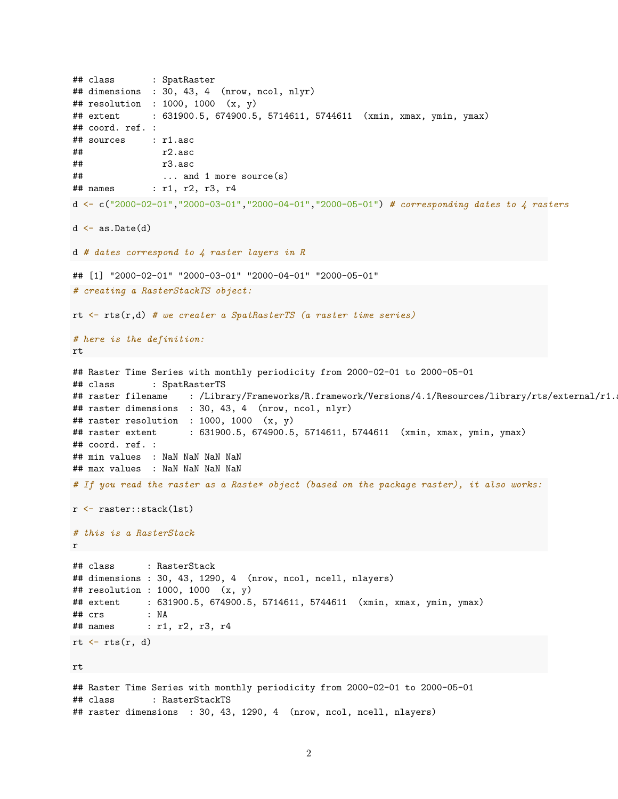```
## class : SpatRaster
## dimensions : 30, 43, 4 (nrow, ncol, nlyr)
## resolution : 1000, 1000 (x, y)
## extent : 631900.5, 674900.5, 5714611, 5744611 (xmin, xmax, ymin, ymax)
## coord. ref. :
## sources : r1.asc
## r2.asc
## r3.asc
## ... and 1 more source(s)
## names : r1, r2, r3, r4
d <- c("2000-02-01","2000-03-01","2000-04-01","2000-05-01") # corresponding dates to 4 rasters
d \leftarrow as.DataFrame(d)d # dates correspond to 4 raster layers in R
## [1] "2000-02-01" "2000-03-01" "2000-04-01" "2000-05-01"
# creating a RasterStackTS object:
rt <- rts(r,d) # we creater a SpatRasterTS (a raster time series)
# here is the definition:
rt
## Raster Time Series with monthly periodicity from 2000-02-01 to 2000-05-01
## class : SpatRasterTS
## raster filename : /Library/Frameworks/R.framework/Versions/4.1/Resources/library/rts/external/r1.
## raster dimensions : 30, 43, 4 (nrow, ncol, nlyr)
## raster resolution : 1000, 1000 (x, y)
## raster extent : 631900.5, 674900.5, 5714611, 5744611 (xmin, xmax, ymin, ymax)
## coord. ref. :
## min values : NaN NaN NaN NaN
## max values : NaN NaN NaN NaN
# If you read the raster as a Raste* object (based on the package raster), it also works:
r <- raster::stack(lst)
# this is a RasterStack
r
## class : RasterStack
## dimensions : 30, 43, 1290, 4 (nrow, ncol, ncell, nlayers)
## resolution : 1000, 1000 (x, y)
## extent : 631900.5, 674900.5, 5714611, 5744611 (xmin, xmax, ymin, ymax)
## crs : NA
## names : r1, r2, r3, r4
rt \leftarrow rts(r, d)rt
## Raster Time Series with monthly periodicity from 2000-02-01 to 2000-05-01
## class : RasterStackTS
## raster dimensions : 30, 43, 1290, 4 (nrow, ncol, ncell, nlayers)
```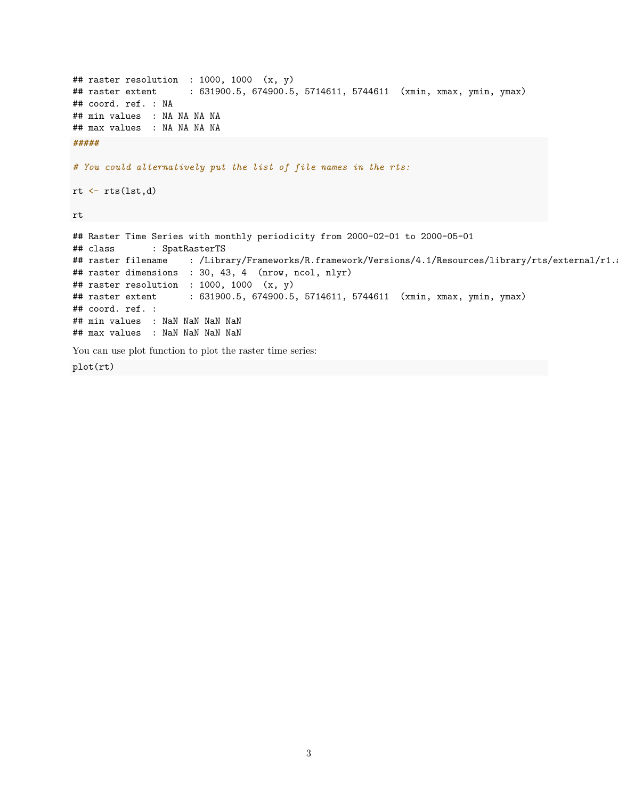```
## raster resolution : 1000, 1000 (x, y)
## raster extent : 631900.5, 674900.5, 5714611, 5744611 (xmin, xmax, ymin, ymax)
## coord. ref. : NA
## min values : NA NA NA NA
## max values : NA NA NA NA
#####
# You could alternatively put the list of file names in the rts:
rt \leftarrow rts(lst,d)rt
## Raster Time Series with monthly periodicity from 2000-02-01 to 2000-05-01
## class : SpatRasterTS
## raster filename : /Library/Frameworks/R.framework/Versions/4.1/Resources/library/rts/external/r1.
## raster dimensions : 30, 43, 4 (nrow, ncol, nlyr)
## raster resolution : 1000, 1000 (x, y)## raster extent : 631900.5, 674900.5, 5714611, 5744611 (xmin, xmax, ymin, ymax)
## coord. ref. :
## min values : NaN NaN NaN NaN
## max values : NaN NaN NaN NaN
You can use plot function to plot the raster time series:
plot(rt)
```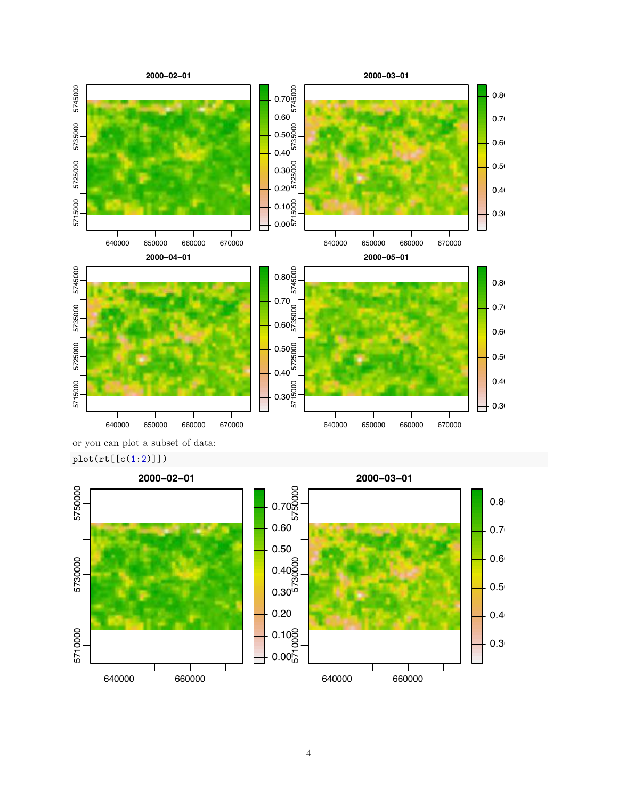



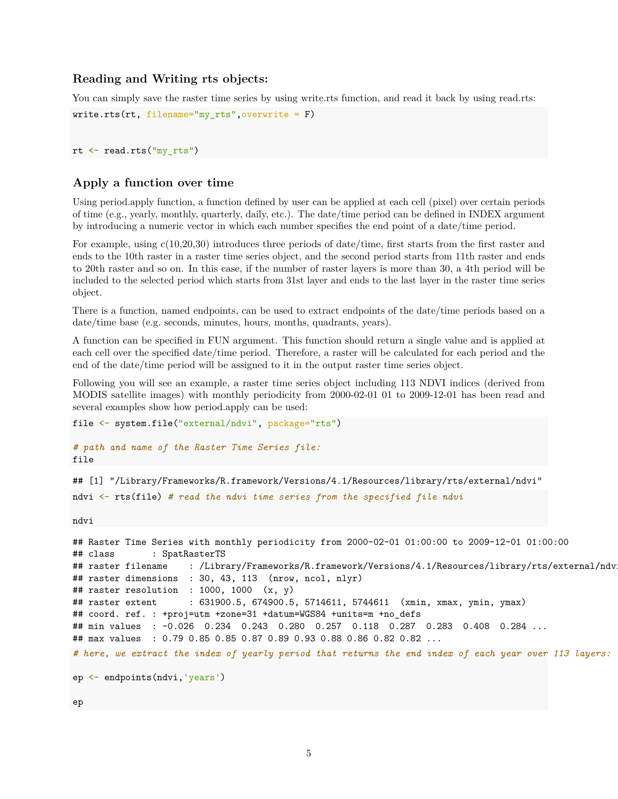## **Reading and Writing rts objects:**

You can simply save the raster time series by using write.rts function, and read it back by using read.rts: write.rts(rt, filename="my\_rts",overwrite =  $F$ )

rt <- read.rts("my\_rts")

#### **Apply a function over time**

Using period.apply function, a function defined by user can be applied at each cell (pixel) over certain periods of time (e.g., yearly, monthly, quarterly, daily, etc.). The date/time period can be defined in INDEX argument by introducing a numeric vector in which each number specifies the end point of a date/time period.

For example, using c(10,20,30) introduces three periods of date/time, first starts from the first raster and ends to the 10th raster in a raster time series object, and the second period starts from 11th raster and ends to 20th raster and so on. In this case, if the number of raster layers is more than 30, a 4th period will be included to the selected period which starts from 31st layer and ends to the last layer in the raster time series object.

There is a function, named endpoints, can be used to extract endpoints of the date/time periods based on a date/time base (e.g. seconds, minutes, hours, months, quadrants, years).

A function can be specified in FUN argument. This function should return a single value and is applied at each cell over the specified date/time period. Therefore, a raster will be calculated for each period and the end of the date/time period will be assigned to it in the output raster time series object.

Following you will see an example, a raster time series object including 113 NDVI indices (derived from MODIS satellite images) with monthly periodicity from 2000-02-01 01 to 2009-12-01 has been read and several examples show how period.apply can be used:

```
file <- system.file("external/ndvi", package="rts")
# path and name of the Raster Time Series file:
```
## [1] "/Library/Frameworks/R.framework/Versions/4.1/Resources/library/rts/external/ndvi"

ndvi <- rts(file) *# read the ndvi time series from the specified file ndvi*

ndvi

file

```
## Raster Time Series with monthly periodicity from 2000-02-01 01:00:00 to 2009-12-01 01:00:00
## class : SpatRasterTS
## raster filename : /Library/Frameworks/R.framework/Versions/4.1/Resources/library/rts/external/ndv
## raster dimensions : 30, 43, 113 (nrow, ncol, nlyr)
## raster resolution : 1000, 1000 (x, y)## raster extent : 631900.5, 674900.5, 5714611, 5744611 (xmin, xmax, ymin, ymax)
## coord. ref. : +proj=utm +zone=31 +datum=WGS84 +units=m +no_defs
## min values : -0.026 0.234 0.243 0.280 0.257 0.118 0.287 0.283 0.408 0.284 ...
## max values : 0.79 0.85 0.85 0.87 0.89 0.93 0.88 0.86 0.82 0.82 ...
# here, we extract the index of yearly period that returns the end index of each year over 113 layers:
ep \leftarrow endpoints(ndui, 'years')
```
ep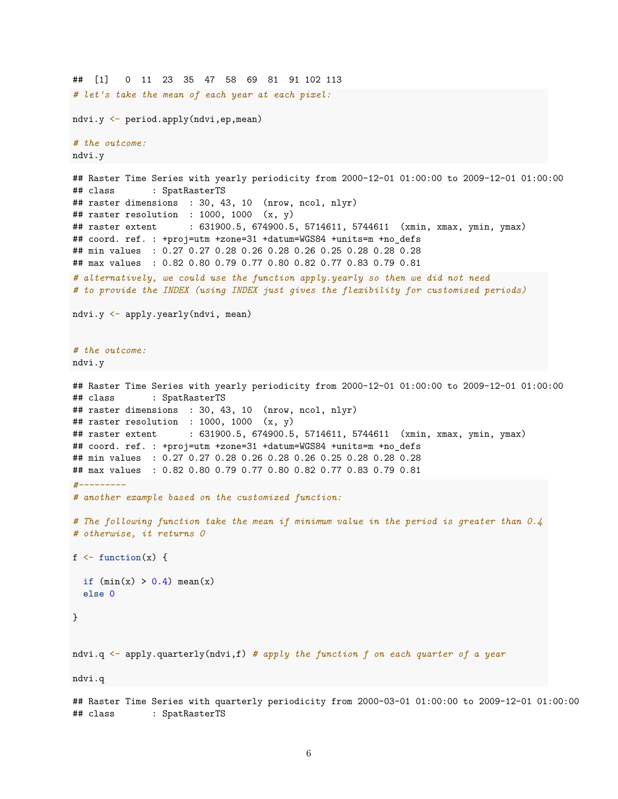```
## [1] 0 11 23 35 47 58 69 81 91 102 113
# lets take the mean of each year at each pixel:
ndvi.y <- period.apply(ndvi,ep,mean)
# the outcome:
ndvi.y
## Raster Time Series with yearly periodicity from 2000-12-01 01:00:00 to 2009-12-01 01:00:00
## class : SpatRasterTS
## raster dimensions : 30, 43, 10 (nrow, ncol, nlyr)
## raster resolution : 1000, 1000 (x, y)## raster extent : 631900.5, 674900.5, 5714611, 5744611 (xmin, xmax, ymin, ymax)
## coord. ref. : +proj=utm +zone=31 +datum=WGS84 +units=m +no_defs
## min values : 0.27 0.27 0.28 0.26 0.28 0.26 0.25 0.28 0.28 0.28
## max values : 0.82 0.80 0.79 0.77 0.80 0.82 0.77 0.83 0.79 0.81
# alternatively, we could use the function apply.yearly so then we did not need
# to provide the INDEX (using INDEX just gives the flexibility for customised periods)
ndvi.y <- apply.yearly(ndvi, mean)
# the outcome:
ndvi.y
## Raster Time Series with yearly periodicity from 2000-12-01 01:00:00 to 2009-12-01 01:00:00
## class : SpatRasterTS
## raster dimensions : 30, 43, 10 (nrow, ncol, nlyr)
## raster resolution : 1000, 1000 (x, y)
## raster extent : 631900.5, 674900.5, 5714611, 5744611 (xmin, xmax, ymin, ymax)
## coord. ref. : +proj=utm +zone=31 +datum=WGS84 +units=m +no_defs
## min values : 0.27 0.27 0.28 0.26 0.28 0.26 0.25 0.28 0.28 0.28
## max values : 0.82 0.80 0.79 0.77 0.80 0.82 0.77 0.83 0.79 0.81
#---------
# another example based on the customized function:
# The following function take the mean if minimum value in the period is greater than 0.4
# otherwise, it returns 0
f \leftarrow function(x) {
 if (min(x) > 0.4) mean(x)else 0
}
ndvi.q <- apply.quarterly(ndvi,f) # apply the function f on each quarter of a year
ndvi.q
```
## Raster Time Series with quarterly periodicity from 2000-03-01 01:00:00 to 2009-12-01 01:00:00 ## class : SpatRasterTS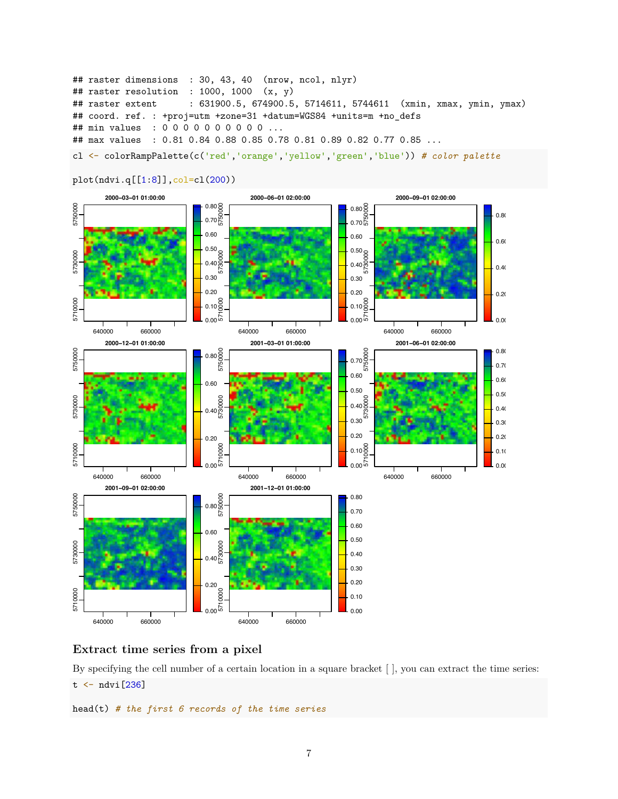```
## raster dimensions : 30, 43, 40 (nrow, ncol, nlyr)
## raster resolution : 1000, 1000 (x, y)## raster extent : 631900.5, 674900.5, 5714611, 5744611 (xmin, xmax, ymin, ymax)
## coord. ref. : +proj=utm +zone=31 +datum=WGS84 +units=m +no_defs
## min values : 0 0 0 0 0 0 0 0 0 0 ...
## max values : 0.81 0.84 0.88 0.85 0.78 0.81 0.89 0.82 0.77 0.85 ...
```
cl <- colorRampPalette(c('red','orange','yellow','green','blue')) # color palette



plot(ndvi.q[[1:8]],col=cl(200))

## **Extract time series from a pixel**

By specifying the cell number of a certain location in a square bracket [ ], you can extract the time series:  $t \leftarrow \text{ndvi}[236]$ 

head(t) *# the first 6 records of the time series*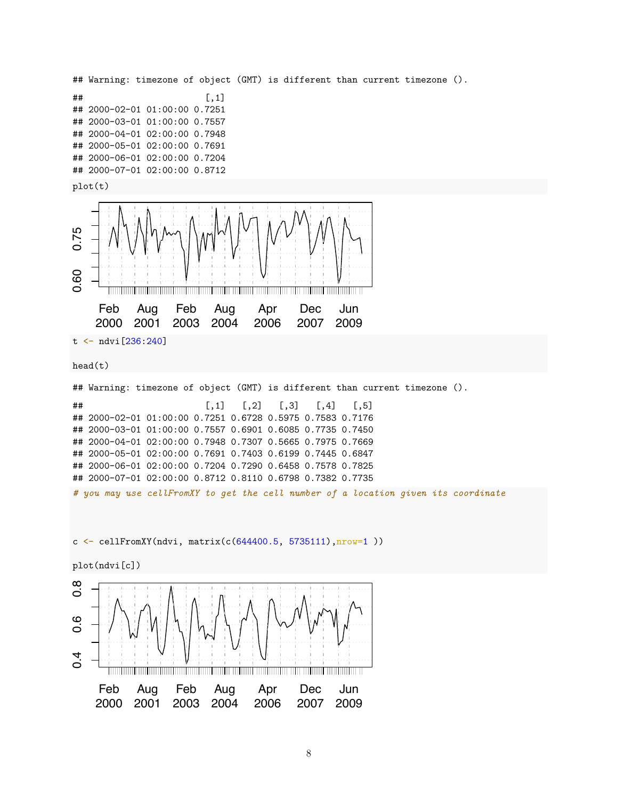```
## Warning: timezone of object (GMT) is different than current timezone ().
\sharp # \qquad \qquad \qquad \qquad \qquad \qquad \qquad \qquad \qquad \quad \Box## 2000-02-01 01:00:00 0.7251
## 2000-03-01 01:00:00 0.7557
## 2000-04-01 02:00:00 0.7948
## 2000-05-01 02:00:00 0.7691
## 2000-06-01 02:00:00 0.7204
## 2000-07-01 02:00:00 0.8712
plot(t)
0.60 0.75
        <u> The Community of the Community of the Community of the Community of the Community of the Community of the Community of the Community of the Community of the Community of the Community of the Community of the Community of</u>
      Feb
               Aug
                        Feb
                                 Aug
                                            Apr
                                                      Dec
                                                                Jun
      2000
2001
2003
2004
                                           2006
                                                     2007
                                                              2009
t <- ndvi[236:240]
head(t)
## Warning: timezone of object (GMT) is different than current timezone ().
## [,1] [,2] [,3] [,4] [,5]
## 2000-02-01 01:00:00 0.7251 0.6728 0.5975 0.7583 0.7176
## 2000-03-01 01:00:00 0.7557 0.6901 0.6085 0.7735 0.7450
## 2000-04-01 02:00:00 0.7948 0.7307 0.5665 0.7975 0.7669
## 2000-05-01 02:00:00 0.7691 0.7403 0.6199 0.7445 0.6847
## 2000-06-01 02:00:00 0.7204 0.7290 0.6458 0.7578 0.7825
## 2000-07-01 02:00:00 0.8712 0.8110 0.6798 0.7382 0.7735
# you may use cellFromXY to get the cell number of a location given its coordinate
c <- cellFromXY(ndvi, matrix(c(644400.5, 5735111),nrow=1 ))
plot(ndvi[c])
\infty0.4 0.6 0.8
\dot{\circ}\circö
4
ö
                             <u> Timbul Timbul Timbul Timbul Timbul Timbul Timbul Timbul Timbul Timbul Timbul Timbul Timbul Timbul Timbul Timb</u>
      Feb
               Aug
                        Feb
                                  Aug
                                            Apr
                                                      Dec
                                                                Jun
                       2003
     2000
              2001
                                 2004
                                           2006
                                                      2007
                                                              2009
```

```
8
```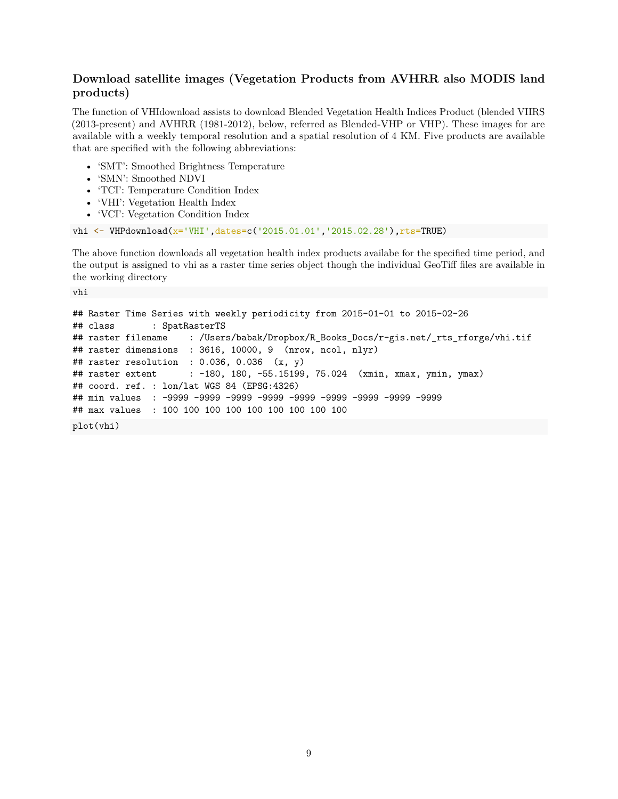## **Download satellite images (Vegetation Products from AVHRR also MODIS land products)**

The function of VHIdownload assists to download Blended Vegetation Health Indices Product (blended VIIRS (2013-present) and AVHRR (1981-2012), below, referred as Blended-VHP or VHP). These images for are available with a weekly temporal resolution and a spatial resolution of 4 KM. Five products are available that are specified with the following abbreviations:

- 'SMT': Smoothed Brightness Temperature
- 'SMN': Smoothed NDVI

vhi

- 'TCI': Temperature Condition Index
- 'VHI': Vegetation Health Index
- 'VCI': Vegetation Condition Index

```
vhi <- VHPdownload(x='VHI',dates=c('2015.01.01','2015.02.28'),rts=TRUE)
```
The above function downloads all vegetation health index products availabe for the specified time period, and the output is assigned to vhi as a raster time series object though the individual GeoTiff files are available in the working directory

```
## Raster Time Series with weekly periodicity from 2015-01-01 to 2015-02-26
## class : SpatRasterTS
## raster filename : /Users/babak/Dropbox/R_Books_Docs/r-gis.net/_rts_rforge/vhi.tif
## raster dimensions : 3616, 10000, 9 (nrow, ncol, nlyr)
## raster resolution : 0.036, 0.036 (x, y)## raster extent : -180, 180, -55.15199, 75.024 (xmin, xmax, ymin, ymax)
## coord. ref. : lon/lat WGS 84 (EPSG:4326)
## min values : -9999 -9999 -9999 -9999 -9999 -9999 -9999 -9999 -9999
## max values : 100 100 100 100 100 100 100 100 100
plot(vhi)
```